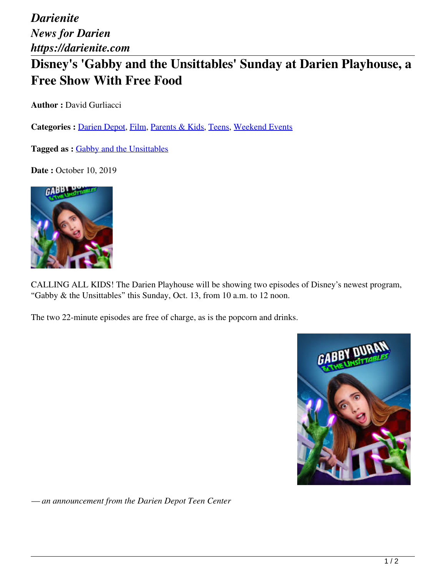*Darienite News for Darien https://darienite.com*

## **Disney's 'Gabby and the Unsittables' Sunday at Darien Playhouse, a Free Show With Free Food**

**Author : David Gurliacci** 

Categories : [Darien Depot](https://darienite.com/category/parents-kids/darien-depot), Film, Parents & Kids, Teens, Weekend Events

Tagged as : Gabby and the Unsittables

**Date : October 10, 2019** 



CALLING ALL KIDS! The Darien Playhouse will be showing two episodes of Disney's newest program, "Gabby & the Unsittables" this Sunday, Oct. 13, from 10 a.m. to 12 noon.

The two 22-minute episodes are free of charge, as is the popcorn and drinks.



*— an announcement from the Darien Depot Teen Center*